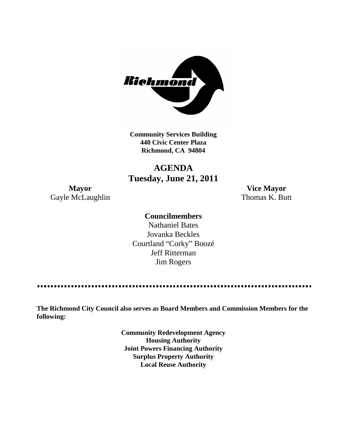

**Community Services Building 440 Civic Center Plaza Richmond, CA 94804**

## **AGENDA Tuesday, June 21, 2011**

**Mayor Vice Mayor** Gayle McLaughlin Thomas K. Butt

### **Councilmembers**

Nathaniel Bates Jovanka Beckles Courtland "Corky" Boozé Jeff Ritterman Jim Rogers

----------------

**The Richmond City Council also serves as Board Members and Commission Members for the following:**

> **Community Redevelopment Agency Housing Authority Joint Powers Financing Authority Surplus Property Authority Local Reuse Authority**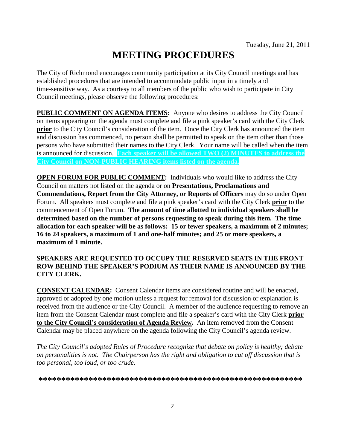# **MEETING PROCEDURES**

The City of Richmond encourages community participation at its City Council meetings and has established procedures that are intended to accommodate public input in a timely and time-sensitive way. As a courtesy to all members of the public who wish to participate in City Council meetings, please observe the following procedures:

**PUBLIC COMMENT ON AGENDA ITEMS:** Anyone who desires to address the City Council on items appearing on the agenda must complete and file a pink speaker's card with the City Clerk **prior** to the City Council's consideration of the item. Once the City Clerk has announced the item and discussion has commenced, no person shall be permitted to speak on the item other than those persons who have submitted their names to the City Clerk. Your name will be called when the item is announced for discussion. **Each speaker will be allowed TWO (2) MINUTES to address the City Council on NON-PUBLIC HEARING items listed on the agenda.**

**OPEN FORUM FOR PUBLIC COMMENT:** Individuals who would like to address the City Council on matters not listed on the agenda or on **Presentations, Proclamations and Commendations, Report from the City Attorney, or Reports of Officers** may do so under Open Forum. All speakers must complete and file a pink speaker's card with the City Clerk **prior** to the commencement of Open Forum. **The amount of time allotted to individual speakers shall be determined based on the number of persons requesting to speak during this item. The time allocation for each speaker will be as follows: 15 or fewer speakers, a maximum of 2 minutes; 16 to 24 speakers, a maximum of 1 and one-half minutes; and 25 or more speakers, a maximum of 1 minute.**

#### **SPEAKERS ARE REQUESTED TO OCCUPY THE RESERVED SEATS IN THE FRONT ROW BEHIND THE SPEAKER'S PODIUM AS THEIR NAME IS ANNOUNCED BY THE CITY CLERK.**

**CONSENT CALENDAR:** Consent Calendar items are considered routine and will be enacted, approved or adopted by one motion unless a request for removal for discussion or explanation is received from the audience or the City Council. A member of the audience requesting to remove an item from the Consent Calendar must complete and file a speaker's card with the City Clerk **prior to the City Council's consideration of Agenda Review.** An item removed from the Consent Calendar may be placed anywhere on the agenda following the City Council's agenda review.

*The City Council's adopted Rules of Procedure recognize that debate on policy is healthy; debate on personalities is not. The Chairperson has the right and obligation to cut off discussion that is too personal, too loud, or too crude.*

**\*\*\*\*\*\*\*\*\*\*\*\*\*\*\*\*\*\*\*\*\*\*\*\*\*\*\*\*\*\*\*\*\*\*\*\*\*\*\*\*\*\*\*\*\*\*\*\*\*\*\*\*\*\*\*\*\*\***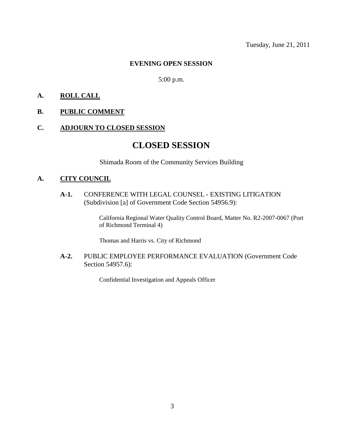#### **EVENING OPEN SESSION**

#### 5:00 p.m.

#### **A. ROLL CALL**

#### **B. PUBLIC COMMENT**

#### **C. ADJOURN TO CLOSED SESSION**

## **CLOSED SESSION**

Shimada Room of the Community Services Building

#### **A. CITY COUNCIL**

**A-1.** CONFERENCE WITH LEGAL COUNSEL - EXISTING LITIGATION (Subdivision [a] of Government Code Section 54956.9):

> California Regional Water Quality Control Board, Matter No. R2-2007-0067 (Port of Richmond Terminal 4)

Thomas and Harris vs. City of Richmond

**A-2.** PUBLIC EMPLOYEE PERFORMANCE EVALUATION (Government Code Section 54957.6):

Confidential Investigation and Appeals Officer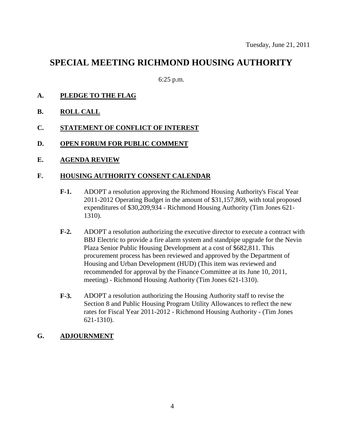## **SPECIAL MEETING RICHMOND HOUSING AUTHORITY**

6:25 p.m.

- **A. PLEDGE TO THE FLAG**
- **B. ROLL CALL**
- **C. STATEMENT OF CONFLICT OF INTEREST**
- **D. OPEN FORUM FOR PUBLIC COMMENT**
- **E. AGENDA REVIEW**

#### **F. HOUSING AUTHORITY CONSENT CALENDAR**

- **F-1.** ADOPT a resolution approving the Richmond Housing Authority's Fiscal Year 2011-2012 Operating Budget in the amount of \$31,157,869, with total proposed expenditures of \$30,209,934 - Richmond Housing Authority (Tim Jones 621- 1310).
- **F-2.** ADOPT a resolution authorizing the executive director to execute a contract with BBJ Electric to provide a fire alarm system and standpipe upgrade for the Nevin Plaza Senior Public Housing Development at a cost of \$682,811. This procurement process has been reviewed and approved by the Department of Housing and Urban Development (HUD) (This item was reviewed and recommended for approval by the Finance Committee at its June 10, 2011, meeting) - Richmond Housing Authority (Tim Jones 621-1310).
- **F-3.** ADOPT a resolution authorizing the Housing Authority staff to revise the Section 8 and Public Housing Program Utility Allowances to reflect the new rates for Fiscal Year 2011-2012 - Richmond Housing Authority - (Tim Jones 621-1310).

#### **G. ADJOURNMENT**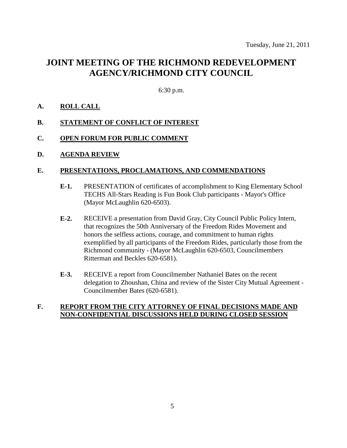## **JOINT MEETING OF THE RICHMOND REDEVELOPMENT AGENCY/RICHMOND CITY COUNCIL**

6:30 p.m.

#### **A. ROLL CALL**

#### **B. STATEMENT OF CONFLICT OF INTEREST**

#### **C. OPEN FORUM FOR PUBLIC COMMENT**

#### **D. AGENDA REVIEW**

#### **E. PRESENTATIONS, PROCLAMATIONS, AND COMMENDATIONS**

- **E-1.** PRESENTATION of certificates of accomplishment to King Elementary School TECHS All-Stars Reading is Fun Book Club participants - Mayor's Office (Mayor McLaughlin 620-6503).
- **E-2.** RECEIVE a presentation from David Gray, City Council Public Policy Intern, that recognizes the 50th Anniversary of the Freedom Rides Movement and honors the selfless actions, courage, and commitment to human rights exemplified by all participants of the Freedom Rides, particularly those from the Richmond community - (Mayor McLaughlin 620-6503, Councilmembers Ritterman and Beckles 620-6581).
- **E-3.** RECEIVE a report from Councilmember Nathaniel Bates on the recent delegation to Zhoushan, China and review of the Sister City Mutual Agreement - Councilmember Bates (620-6581).

#### **F. REPORT FROM THE CITY ATTORNEY OF FINAL DECISIONS MADE AND NON-CONFIDENTIAL DISCUSSIONS HELD DURING CLOSED SESSION**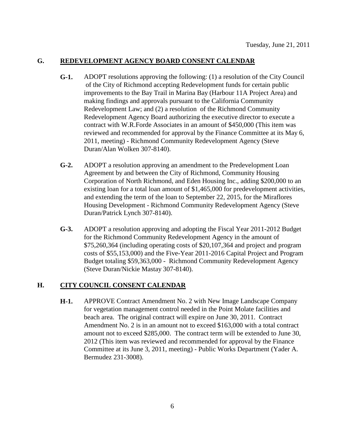#### **G. REDEVELOPMENT AGENCY BOARD CONSENT CALENDAR**

- **G-1.** ADOPT resolutions approving the following: (1) a resolution of the City Council of the City of Richmond accepting Redevelopment funds for certain public improvements to the Bay Trail in Marina Bay (Harbour 11A Project Area) and making findings and approvals pursuant to the California Community Redevelopment Law; and (2) a resolution of the Richmond Community Redevelopment Agency Board authorizing the executive director to execute a contract with W.R.Forde Associates in an amount of \$450,000 (This item was reviewed and recommended for approval by the Finance Committee at its May 6, 2011, meeting) - Richmond Community Redevelopment Agency (Steve Duran/Alan Wolken 307-8140).
- **G-2.** ADOPT a resolution approving an amendment to the Predevelopment Loan Agreement by and between the City of Richmond, Community Housing Corporation of North Richmond, and Eden Housing Inc., adding \$200,000 to an existing loan for a total loan amount of \$1,465,000 for predevelopment activities, and extending the term of the loan to September 22, 2015, for the Miraflores Housing Development - Richmond Community Redevelopment Agency (Steve Duran/Patrick Lynch 307-8140).
- **G-3.** ADOPT a resolution approving and adopting the Fiscal Year 2011-2012 Budget for the Richmond Community Redevelopment Agency in the amount of \$75,260,364 (including operating costs of \$20,107,364 and project and program costs of \$55,153,000) and the Five-Year 2011-2016 Capital Project and Program Budget totaling \$59,363,000 - Richmond Community Redevelopment Agency (Steve Duran/Nickie Mastay 307-8140).

#### **H. CITY COUNCIL CONSENT CALENDAR**

**H-1.** APPROVE Contract Amendment No. 2 with New Image Landscape Company for vegetation management control needed in the Point Molate facilities and beach area. The original contract will expire on June 30, 2011. Contract Amendment No. 2 is in an amount not to exceed \$163,000 with a total contract amount not to exceed \$285,000. The contract term will be extended to June 30, 2012 (This item was reviewed and recommended for approval by the Finance Committee at its June 3, 2011, meeting) - Public Works Department (Yader A. Bermudez 231-3008).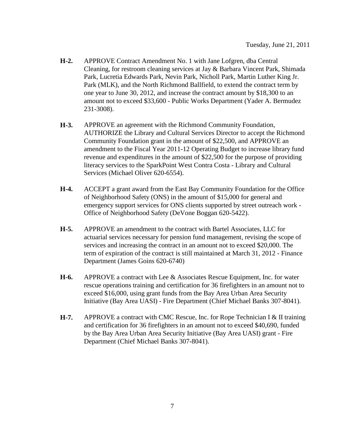- **H-2.** APPROVE Contract Amendment No. 1 with Jane Lofgren, dba Central Cleaning, for restroom cleaning services at Jay & Barbara Vincent Park, Shimada Park, Lucretia Edwards Park, Nevin Park, Nicholl Park, Martin Luther King Jr. Park (MLK), and the North Richmond Ballfield, to extend the contract term by one year to June 30, 2012, and increase the contract amount by \$18,300 to an amount not to exceed \$33,600 - Public Works Department (Yader A. Bermudez 231-3008).
- **H-3.** APPROVE an agreement with the Richmond Community Foundation, AUTHORIZE the Library and Cultural Services Director to accept the Richmond Community Foundation grant in the amount of \$22,500, and APPROVE an amendment to the Fiscal Year 2011-12 Operating Budget to increase library fund revenue and expenditures in the amount of \$22,500 for the purpose of providing literacy services to the SparkPoint West Contra Costa - Library and Cultural Services (Michael Oliver 620-6554).
- **H-4.** ACCEPT a grant award from the East Bay Community Foundation for the Office of Neighborhood Safety (ONS) in the amount of \$15,000 for general and emergency support services for ONS clients supported by street outreach work - Office of Neighborhood Safety (DeVone Boggan 620-5422).
- **H-5.** APPROVE an amendment to the contract with Bartel Associates, LLC for actuarial services necessary for pension fund management, revising the scope of services and increasing the contract in an amount not to exceed \$20,000. The term of expiration of the contract is still maintained at March 31, 2012 - Finance Department (James Goins 620-6740)
- **H-6.** APPROVE a contract with Lee & Associates Rescue Equipment, Inc. for water rescue operations training and certification for 36 firefighters in an amount not to exceed \$16,000, using grant funds from the Bay Area Urban Area Security Initiative (Bay Area UASI) - Fire Department (Chief Michael Banks 307-8041).
- **H-7.** APPROVE a contract with CMC Rescue, Inc. for Rope Technician I & II training and certification for 36 firefighters in an amount not to exceed \$40,690, funded by the Bay Area Urban Area Security Initiative (Bay Area UASI) grant - Fire Department (Chief Michael Banks 307-8041).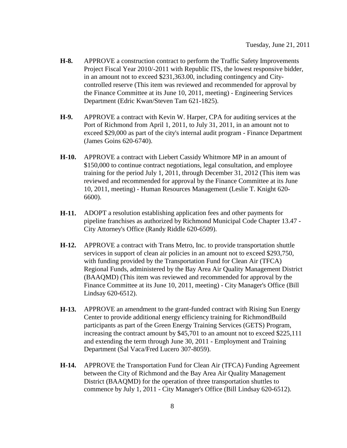- **H-8.** APPROVE a construction contract to perform the Traffic Safety Improvements Project Fiscal Year 2010/-2011 with Republic ITS, the lowest responsive bidder, in an amount not to exceed \$231,363.00, including contingency and Citycontrolled reserve (This item was reviewed and recommended for approval by the Finance Committee at its June 10, 2011, meeting) - Engineering Services Department (Edric Kwan/Steven Tam 621-1825).
- **H-9.** APPROVE a contract with Kevin W. Harper, CPA for auditing services at the Port of Richmond from April 1, 2011, to July 31, 2011, in an amount not to exceed \$29,000 as part of the city's internal audit program - Finance Department (James Goins 620-6740).
- **H-10.** APPROVE a contract with Liebert Cassidy Whitmore MP in an amount of \$150,000 to continue contract negotiations, legal consultation, and employee training for the period July 1, 2011, through December 31, 2012 (This item was reviewed and recommended for approval by the Finance Committee at its June 10, 2011, meeting) - Human Resources Management (Leslie T. Knight 620- 6600).
- **H-11.** ADOPT a resolution establishing application fees and other payments for pipeline franchises as authorized by Richmond Municipal Code Chapter 13.47 - City Attorney's Office (Randy Riddle 620-6509).
- **H-12.** APPROVE a contract with Trans Metro, Inc. to provide transportation shuttle services in support of clean air policies in an amount not to exceed \$293,750, with funding provided by the Transportation Fund for Clean Air (TFCA) Regional Funds, administered by the Bay Area Air Quality Management District (BAAQMD) (This item was reviewed and recommended for approval by the Finance Committee at its June 10, 2011, meeting) - City Manager's Office (Bill Lindsay 620-6512).
- **H-13.** APPROVE an amendment to the grant-funded contract with Rising Sun Energy Center to provide additional energy efficiency training for RichmondBuild participants as part of the Green Energy Training Services (GETS) Program, increasing the contract amount by \$45,701 to an amount not to exceed \$225,111 and extending the term through June 30, 2011 - Employment and Training Department (Sal Vaca/Fred Lucero 307-8059).
- **H-14.** APPROVE the Transportation Fund for Clean Air (TFCA) Funding Agreement between the City of Richmond and the Bay Area Air Quality Management District (BAAQMD) for the operation of three transportation shuttles to commence by July 1, 2011 - City Manager's Office (Bill Lindsay 620-6512).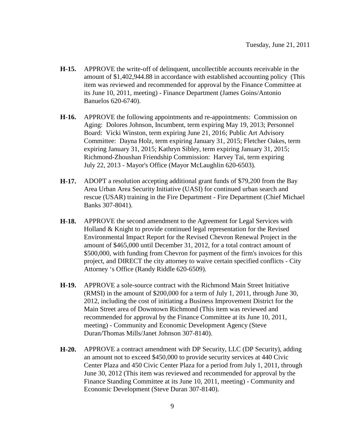- **H-15.** APPROVE the write-off of delinquent, uncollectible accounts receivable in the amount of \$1,402,944.88 in accordance with established accounting policy (This item was reviewed and recommended for approval by the Finance Committee at its June 10, 2011, meeting) - Finance Department (James Goins/Antonio Banuelos 620-6740).
- **H-16.** APPROVE the following appointments and re-appointments: Commission on Aging: Dolores Johnson, Incumbent, term expiring May 19, 2013; Personnel Board: Vicki Winston, term expiring June 21, 2016; Public Art Advisory Committee: Dayna Holz, term expiring January 31, 2015; Fletcher Oakes, term expiring January 31, 2015; Kathryn Sibley, term expiring January 31, 2015; Richmond-Zhoushan Friendship Commission: Harvey Tai, term expiring July 22, 2013 - Mayor's Office (Mayor McLaughlin 620-6503).
- **H-17.** ADOPT a resolution accepting additional grant funds of \$79,200 from the Bay Area Urban Area Security Initiative (UASI) for continued urban search and rescue (USAR) training in the Fire Department - Fire Department (Chief Michael Banks 307-8041).
- **H-18.** APPROVE the second amendment to the Agreement for Legal Services with Holland & Knight to provide continued legal representation for the Revised Environmental Impact Report for the Revised Chevron Renewal Project in the amount of \$465,000 until December 31, 2012, for a total contract amount of \$500,000, with funding from Chevron for payment of the firm's invoices for this project, and DIRECT the city attorney to waive certain specified conflicts - City Attorney 's Office (Randy Riddle 620-6509).
- **H-19.** APPROVE a sole-source contract with the Richmond Main Street Initiative (RMSI) in the amount of \$200,000 for a term of July 1, 2011, through June 30, 2012, including the cost of initiating a Business Improvement District for the Main Street area of Downtown Richmond (This item was reviewed and recommended for approval by the Finance Committee at its June 10, 2011, meeting) - Community and Economic Development Agency (Steve Duran/Thomas Mills/Janet Johnson 307-8140).
- **H-20.** APPROVE a contract amendment with DP Security, LLC (DP Security), adding an amount not to exceed \$450,000 to provide security services at 440 Civic Center Plaza and 450 Civic Center Plaza for a period from July 1, 2011, through June 30, 2012 (This item was reviewed and recommended for approval by the Finance Standing Committee at its June 10, 2011, meeting) - Community and Economic Development (Steve Duran 307-8140).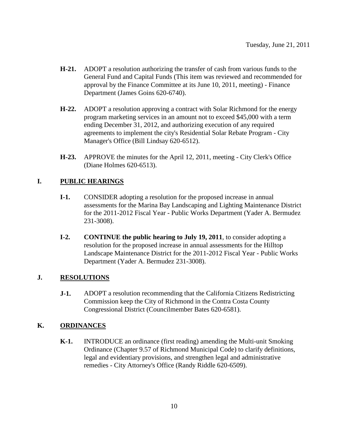- **H-21.** ADOPT a resolution authorizing the transfer of cash from various funds to the General Fund and Capital Funds (This item was reviewed and recommended for approval by the Finance Committee at its June 10, 2011, meeting) - Finance Department (James Goins 620-6740).
- **H-22.** ADOPT a resolution approving a contract with Solar Richmond for the energy program marketing services in an amount not to exceed \$45,000 with a term ending December 31, 2012, and authorizing execution of any required agreements to implement the city's Residential Solar Rebate Program - City Manager's Office (Bill Lindsay 620-6512).
- **H-23.** APPROVE the minutes for the April 12, 2011, meeting City Clerk's Office (Diane Holmes 620-6513).

#### **I. PUBLIC HEARINGS**

- **I-1.** CONSIDER adopting a resolution for the proposed increase in annual assessments for the Marina Bay Landscaping and Lighting Maintenance District for the 2011-2012 Fiscal Year - Public Works Department (Yader A. Bermudez 231-3008).
- **I-2. CONTINUE the public hearing to July 19, 2011**, to consider adopting a resolution for the proposed increase in annual assessments for the Hilltop Landscape Maintenance District for the 2011-2012 Fiscal Year - Public Works Department (Yader A. Bermudez 231-3008).

#### **J. RESOLUTIONS**

**J-1.** ADOPT a resolution recommending that the California Citizens Redistricting Commission keep the City of Richmond in the Contra Costa County Congressional District (Councilmember Bates 620-6581).

#### **K. ORDINANCES**

**K-1.** INTRODUCE an ordinance (first reading) amending the Multi-unit Smoking Ordinance (Chapter 9.57 of Richmond Municipal Code) to clarify definitions, legal and evidentiary provisions, and strengthen legal and administrative remedies - City Attorney's Office (Randy Riddle 620-6509).